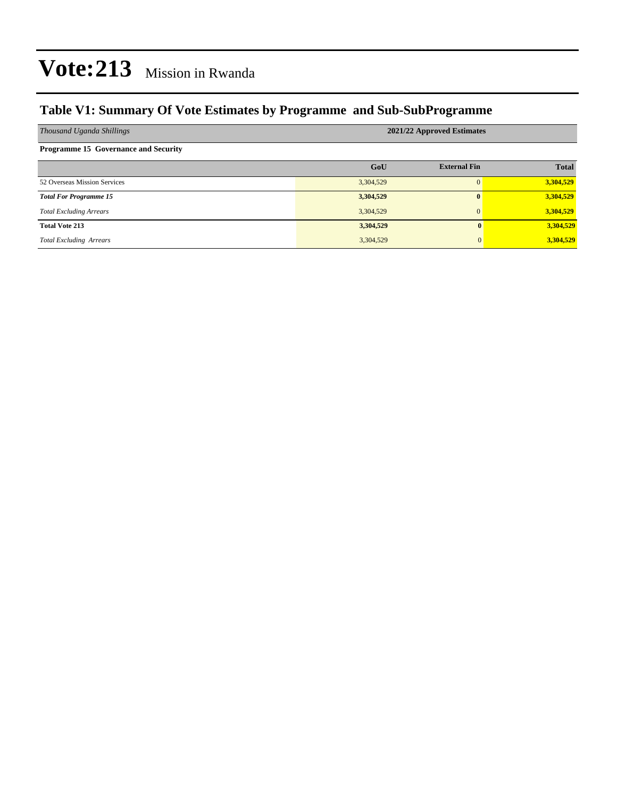### **Table V1: Summary Of Vote Estimates by Programme and Sub-SubProgramme**

| Thousand Uganda Shillings                   | 2021/22 Approved Estimates |                     |              |  |  |  |  |
|---------------------------------------------|----------------------------|---------------------|--------------|--|--|--|--|
| <b>Programme 15 Governance and Security</b> |                            |                     |              |  |  |  |  |
|                                             | GoU                        | <b>External Fin</b> | <b>Total</b> |  |  |  |  |
| 52 Overseas Mission Services                | 3,304,529                  |                     | 3,304,529    |  |  |  |  |
| <b>Total For Programme 15</b>               | 3,304,529                  | $\mathbf{0}$        | 3,304,529    |  |  |  |  |
| <b>Total Excluding Arrears</b>              | 3,304,529                  | $\mathbf{0}$        | 3,304,529    |  |  |  |  |
| <b>Total Vote 213</b>                       | 3,304,529                  | $\mathbf{0}$        | 3,304,529    |  |  |  |  |
| <b>Total Excluding Arrears</b>              | 3,304,529                  | 0                   | 3,304,529    |  |  |  |  |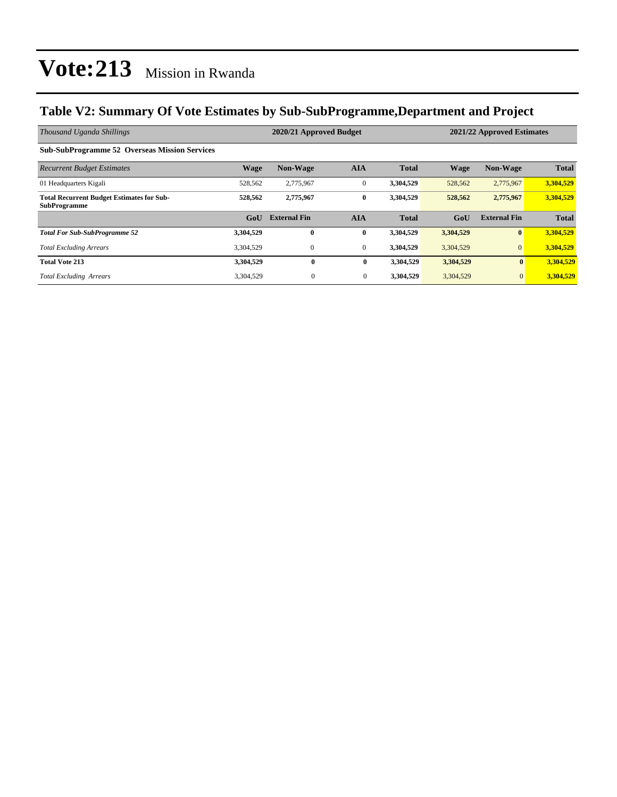### **Table V2: Summary Of Vote Estimates by Sub-SubProgramme,Department and Project**

| Thousand Uganda Shillings                                               |             | 2020/21 Approved Budget<br>2021/22 Approved Estimates |                |              |             |                     |              |
|-------------------------------------------------------------------------|-------------|-------------------------------------------------------|----------------|--------------|-------------|---------------------|--------------|
| <b>Sub-SubProgramme 52 Overseas Mission Services</b>                    |             |                                                       |                |              |             |                     |              |
| <b>Recurrent Budget Estimates</b>                                       | <b>Wage</b> | <b>Non-Wage</b>                                       | <b>AIA</b>     | <b>Total</b> | <b>Wage</b> | <b>Non-Wage</b>     | <b>Total</b> |
| 01 Headquarters Kigali                                                  | 528,562     | 2,775,967                                             | $\mathbf{0}$   | 3,304,529    | 528,562     | 2,775,967           | 3,304,529    |
| <b>Total Recurrent Budget Estimates for Sub-</b><br><b>SubProgramme</b> | 528.562     | 2,775,967                                             | $\bf{0}$       | 3,304,529    | 528,562     | 2,775,967           | 3,304,529    |
|                                                                         | GoU         | <b>External Fin</b>                                   | <b>AIA</b>     | <b>Total</b> | GoU         | <b>External Fin</b> | <b>Total</b> |
| <b>Total For Sub-SubProgramme 52</b>                                    | 3,304,529   | $\bf{0}$                                              | $\bf{0}$       | 3,304,529    | 3,304,529   | $\bf{0}$            | 3,304,529    |
| <b>Total Excluding Arrears</b>                                          | 3,304,529   | $\mathbf{0}$                                          | $\overline{0}$ | 3,304,529    | 3,304,529   | $\overline{0}$      | 3,304,529    |
| <b>Total Vote 213</b>                                                   | 3,304,529   | $\bf{0}$                                              | $\bf{0}$       | 3,304,529    | 3,304,529   | $\mathbf{0}$        | 3,304,529    |
| <b>Total Excluding Arrears</b>                                          | 3,304,529   | $\overline{0}$                                        | $\overline{0}$ | 3,304,529    | 3,304,529   | $\mathbf{0}$        | 3,304,529    |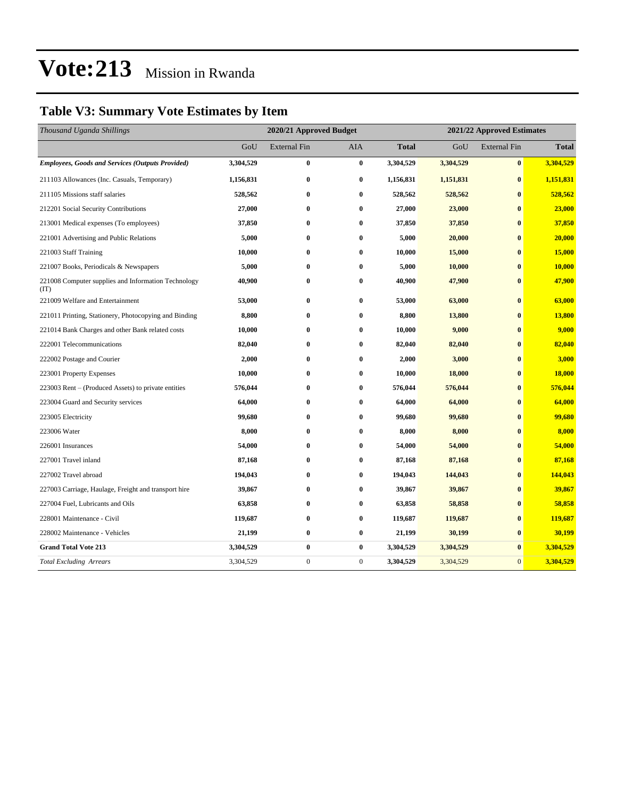## **Table V3: Summary Vote Estimates by Item**

| Thousand Uganda Shillings                                   | 2020/21 Approved Budget |                     |              |              | 2021/22 Approved Estimates |                     |              |  |
|-------------------------------------------------------------|-------------------------|---------------------|--------------|--------------|----------------------------|---------------------|--------------|--|
|                                                             | GoU                     | <b>External Fin</b> | AIA          | <b>Total</b> | GoU                        | <b>External Fin</b> | <b>Total</b> |  |
| <b>Employees, Goods and Services (Outputs Provided)</b>     | 3,304,529               | $\bf{0}$            | $\bf{0}$     | 3,304,529    | 3,304,529                  | $\bf{0}$            | 3,304,529    |  |
| 211103 Allowances (Inc. Casuals, Temporary)                 | 1,156,831               | $\bf{0}$            | $\bf{0}$     | 1,156,831    | 1,151,831                  | $\bf{0}$            | 1,151,831    |  |
| 211105 Missions staff salaries                              | 528,562                 | $\bf{0}$            | $\bf{0}$     | 528,562      | 528,562                    | $\bf{0}$            | 528,562      |  |
| 212201 Social Security Contributions                        | 27,000                  | $\bf{0}$            | $\bf{0}$     | 27,000       | 23,000                     | $\bf{0}$            | 23,000       |  |
| 213001 Medical expenses (To employees)                      | 37,850                  | $\bf{0}$            | $\bf{0}$     | 37,850       | 37,850                     | $\bf{0}$            | 37,850       |  |
| 221001 Advertising and Public Relations                     | 5,000                   | $\bf{0}$            | $\bf{0}$     | 5,000        | 20,000                     | $\bf{0}$            | 20,000       |  |
| 221003 Staff Training                                       | 10,000                  | $\bf{0}$            | $\bf{0}$     | 10,000       | 15,000                     | $\bf{0}$            | 15,000       |  |
| 221007 Books, Periodicals & Newspapers                      | 5,000                   | $\bf{0}$            | $\bf{0}$     | 5,000        | 10,000                     | $\bf{0}$            | 10,000       |  |
| 221008 Computer supplies and Information Technology<br>(TT) | 40,900                  | $\bf{0}$            | $\bf{0}$     | 40,900       | 47,900                     | $\bf{0}$            | 47,900       |  |
| 221009 Welfare and Entertainment                            | 53,000                  | $\bf{0}$            | $\bf{0}$     | 53,000       | 63,000                     | $\bf{0}$            | 63,000       |  |
| 221011 Printing, Stationery, Photocopying and Binding       | 8,800                   | $\bf{0}$            | $\bf{0}$     | 8,800        | 13,800                     | $\mathbf{0}$        | 13,800       |  |
| 221014 Bank Charges and other Bank related costs            | 10,000                  | $\bf{0}$            | $\bf{0}$     | 10,000       | 9,000                      | $\bf{0}$            | 9,000        |  |
| 222001 Telecommunications                                   | 82,040                  | $\bf{0}$            | $\bf{0}$     | 82,040       | 82,040                     | $\bf{0}$            | 82,040       |  |
| 222002 Postage and Courier                                  | 2,000                   | $\bf{0}$            | $\bf{0}$     | 2,000        | 3,000                      | $\bf{0}$            | 3,000        |  |
| 223001 Property Expenses                                    | 10,000                  | $\bf{0}$            | $\bf{0}$     | 10,000       | 18,000                     | $\bf{0}$            | 18,000       |  |
| 223003 Rent – (Produced Assets) to private entities         | 576,044                 | $\bf{0}$            | $\bf{0}$     | 576,044      | 576,044                    | $\bf{0}$            | 576,044      |  |
| 223004 Guard and Security services                          | 64,000                  | $\bf{0}$            | $\bf{0}$     | 64,000       | 64,000                     | $\bf{0}$            | 64,000       |  |
| 223005 Electricity                                          | 99,680                  | $\bf{0}$            | $\bf{0}$     | 99,680       | 99,680                     | $\bf{0}$            | 99,680       |  |
| 223006 Water                                                | 8,000                   | $\bf{0}$            | $\bf{0}$     | 8,000        | 8,000                      | $\bf{0}$            | 8,000        |  |
| 226001 Insurances                                           | 54,000                  | $\bf{0}$            | $\bf{0}$     | 54,000       | 54,000                     | $\bf{0}$            | 54,000       |  |
| 227001 Travel inland                                        | 87,168                  | $\bf{0}$            | $\bf{0}$     | 87,168       | 87,168                     | $\bf{0}$            | 87,168       |  |
| 227002 Travel abroad                                        | 194,043                 | $\bf{0}$            | $\bf{0}$     | 194,043      | 144,043                    | $\bf{0}$            | 144,043      |  |
| 227003 Carriage, Haulage, Freight and transport hire        | 39,867                  | $\bf{0}$            | $\bf{0}$     | 39,867       | 39,867                     | $\mathbf{0}$        | 39,867       |  |
| 227004 Fuel, Lubricants and Oils                            | 63,858                  | $\bf{0}$            | $\bf{0}$     | 63,858       | 58,858                     | $\bf{0}$            | 58,858       |  |
| 228001 Maintenance - Civil                                  | 119,687                 | $\bf{0}$            | $\bf{0}$     | 119,687      | 119,687                    | $\bf{0}$            | 119,687      |  |
| 228002 Maintenance - Vehicles                               | 21,199                  | $\bf{0}$            | $\bf{0}$     | 21,199       | 30,199                     | $\bf{0}$            | 30,199       |  |
| <b>Grand Total Vote 213</b>                                 | 3,304,529               | $\bf{0}$            | $\bf{0}$     | 3,304,529    | 3,304,529                  | $\bf{0}$            | 3,304,529    |  |
| <b>Total Excluding Arrears</b>                              | 3,304,529               | $\boldsymbol{0}$    | $\mathbf{0}$ | 3,304,529    | 3,304,529                  | $\mathbf{0}$        | 3,304,529    |  |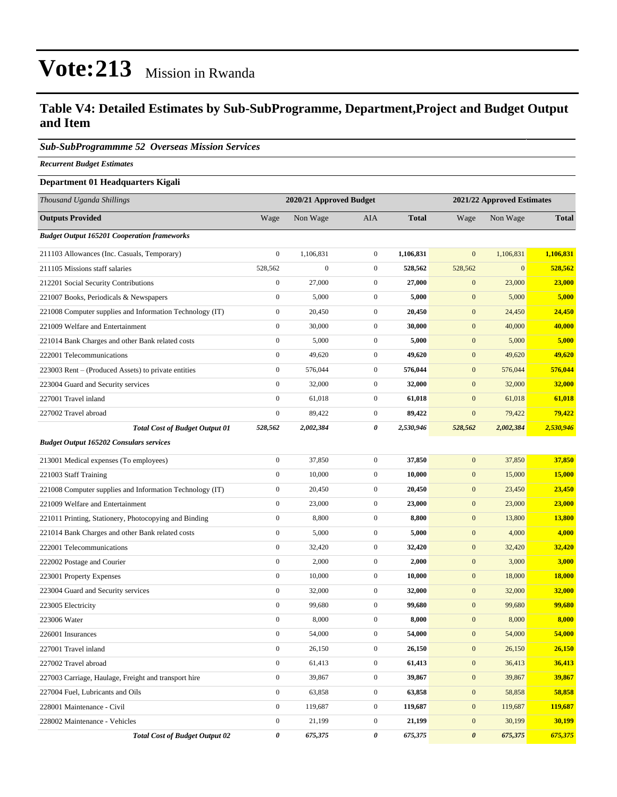#### **Table V4: Detailed Estimates by Sub-SubProgramme, Department,Project and Budget Output and Item**

#### *Sub-SubProgrammme 52 Overseas Mission Services*

*Recurrent Budget Estimates*

#### **Department 01 Headquarters Kigali**

| Thousand Uganda Shillings                                | 2020/21 Approved Budget |                  |                  |              | 2021/22 Approved Estimates |                  |               |  |
|----------------------------------------------------------|-------------------------|------------------|------------------|--------------|----------------------------|------------------|---------------|--|
| <b>Outputs Provided</b>                                  | Wage                    | Non Wage         | <b>AIA</b>       | <b>Total</b> | Wage                       | Non Wage         | <b>Total</b>  |  |
| <b>Budget Output 165201 Cooperation frameworks</b>       |                         |                  |                  |              |                            |                  |               |  |
| 211103 Allowances (Inc. Casuals, Temporary)              | $\boldsymbol{0}$        | 1,106,831        | $\overline{0}$   | 1,106,831    | $\mathbf{0}$               | 1,106,831        | 1,106,831     |  |
| 211105 Missions staff salaries                           | 528,562                 | $\boldsymbol{0}$ | $\mathbf{0}$     | 528,562      | 528,562                    | $\boldsymbol{0}$ | 528,562       |  |
| 212201 Social Security Contributions                     | $\boldsymbol{0}$        | 27,000           | $\mathbf{0}$     | 27,000       | $\mathbf{0}$               | 23,000           | 23,000        |  |
| 221007 Books, Periodicals & Newspapers                   | $\mathbf{0}$            | 5,000            | $\mathbf{0}$     | 5,000        | $\mathbf{0}$               | 5,000            | 5,000         |  |
| 221008 Computer supplies and Information Technology (IT) | $\mathbf{0}$            | 20,450           | $\boldsymbol{0}$ | 20,450       | $\mathbf{0}$               | 24,450           | 24,450        |  |
| 221009 Welfare and Entertainment                         | $\boldsymbol{0}$        | 30,000           | $\mathbf{0}$     | 30,000       | $\mathbf{0}$               | 40,000           | 40,000        |  |
| 221014 Bank Charges and other Bank related costs         | $\boldsymbol{0}$        | 5,000            | $\overline{0}$   | 5,000        | $\mathbf{0}$               | 5,000            | 5,000         |  |
| 222001 Telecommunications                                | $\boldsymbol{0}$        | 49,620           | $\mathbf{0}$     | 49,620       | $\mathbf{0}$               | 49,620           | 49,620        |  |
| 223003 Rent – (Produced Assets) to private entities      | $\boldsymbol{0}$        | 576,044          | $\mathbf{0}$     | 576,044      | $\mathbf{0}$               | 576,044          | 576,044       |  |
| 223004 Guard and Security services                       | $\mathbf{0}$            | 32,000           | $\mathbf{0}$     | 32,000       | $\mathbf{0}$               | 32,000           | 32,000        |  |
| 227001 Travel inland                                     | $\boldsymbol{0}$        | 61,018           | $\mathbf{0}$     | 61,018       | $\mathbf{0}$               | 61,018           | 61,018        |  |
| 227002 Travel abroad                                     | $\boldsymbol{0}$        | 89,422           | $\boldsymbol{0}$ | 89,422       | $\mathbf{0}$               | 79,422           | 79,422        |  |
| <b>Total Cost of Budget Output 01</b>                    | 528,562                 | 2,002,384        | 0                | 2,530,946    | 528,562                    | 2,002,384        | 2,530,946     |  |
| <b>Budget Output 165202 Consulars services</b>           |                         |                  |                  |              |                            |                  |               |  |
| 213001 Medical expenses (To employees)                   | $\boldsymbol{0}$        | 37,850           | $\overline{0}$   | 37,850       | $\boldsymbol{0}$           | 37,850           | 37,850        |  |
| 221003 Staff Training                                    | $\boldsymbol{0}$        | 10,000           | $\mathbf{0}$     | 10,000       | $\mathbf{0}$               | 15,000           | 15,000        |  |
| 221008 Computer supplies and Information Technology (IT) | $\boldsymbol{0}$        | 20,450           | $\mathbf{0}$     | 20,450       | $\mathbf{0}$               | 23,450           | 23,450        |  |
| 221009 Welfare and Entertainment                         | $\boldsymbol{0}$        | 23,000           | $\boldsymbol{0}$ | 23,000       | $\mathbf{0}$               | 23,000           | 23,000        |  |
| 221011 Printing, Stationery, Photocopying and Binding    | $\boldsymbol{0}$        | 8,800            | $\mathbf{0}$     | 8,800        | $\mathbf{0}$               | 13,800           | 13,800        |  |
| 221014 Bank Charges and other Bank related costs         | $\boldsymbol{0}$        | 5,000            | $\mathbf{0}$     | 5,000        | $\mathbf{0}$               | 4,000            | 4,000         |  |
| 222001 Telecommunications                                | $\mathbf{0}$            | 32,420           | $\mathbf{0}$     | 32,420       | $\mathbf{0}$               | 32,420           | 32,420        |  |
| 222002 Postage and Courier                               | $\boldsymbol{0}$        | 2,000            | $\mathbf{0}$     | 2,000        | $\mathbf{0}$               | 3,000            | 3,000         |  |
| 223001 Property Expenses                                 | $\boldsymbol{0}$        | 10,000           | $\boldsymbol{0}$ | 10,000       | $\mathbf{0}$               | 18,000           | <b>18,000</b> |  |
| 223004 Guard and Security services                       | $\mathbf{0}$            | 32,000           | $\mathbf{0}$     | 32,000       | $\mathbf{0}$               | 32,000           | 32,000        |  |
| 223005 Electricity                                       | $\boldsymbol{0}$        | 99,680           | $\mathbf{0}$     | 99,680       | $\mathbf{0}$               | 99,680           | 99,680        |  |
| 223006 Water                                             | $\mathbf{0}$            | 8,000            | $\mathbf{0}$     | 8,000        | $\mathbf{0}$               | 8,000            | 8,000         |  |
| 226001 Insurances                                        | $\mathbf{0}$            | 54,000           | $\boldsymbol{0}$ | 54,000       | $\mathbf{0}$               | 54,000           | 54,000        |  |
| 227001 Travel inland                                     | $\boldsymbol{0}$        | 26,150           | $\boldsymbol{0}$ | 26,150       | $\mathbf{0}$               | 26,150           | 26,150        |  |
| 227002 Travel abroad                                     | $\boldsymbol{0}$        | 61,413           | $\boldsymbol{0}$ | 61,413       | $\mathbf{0}$               | 36,413           | 36,413        |  |
| 227003 Carriage, Haulage, Freight and transport hire     | $\boldsymbol{0}$        | 39,867           | $\boldsymbol{0}$ | 39,867       | $\boldsymbol{0}$           | 39,867           | 39,867        |  |
| 227004 Fuel, Lubricants and Oils                         | $\boldsymbol{0}$        | 63,858           | $\boldsymbol{0}$ | 63,858       | $\boldsymbol{0}$           | 58,858           | 58,858        |  |
| 228001 Maintenance - Civil                               | $\boldsymbol{0}$        | 119,687          | $\boldsymbol{0}$ | 119,687      | $\mathbf{0}$               | 119,687          | 119,687       |  |
| 228002 Maintenance - Vehicles                            | $\boldsymbol{0}$        | 21,199           | $\mathbf{0}$     | 21,199       | $\mathbf{0}$               | 30,199           | 30,199        |  |
| <b>Total Cost of Budget Output 02</b>                    | 0                       | 675,375          | 0                | 675,375      | $\pmb{\theta}$             | 675,375          | 675,375       |  |